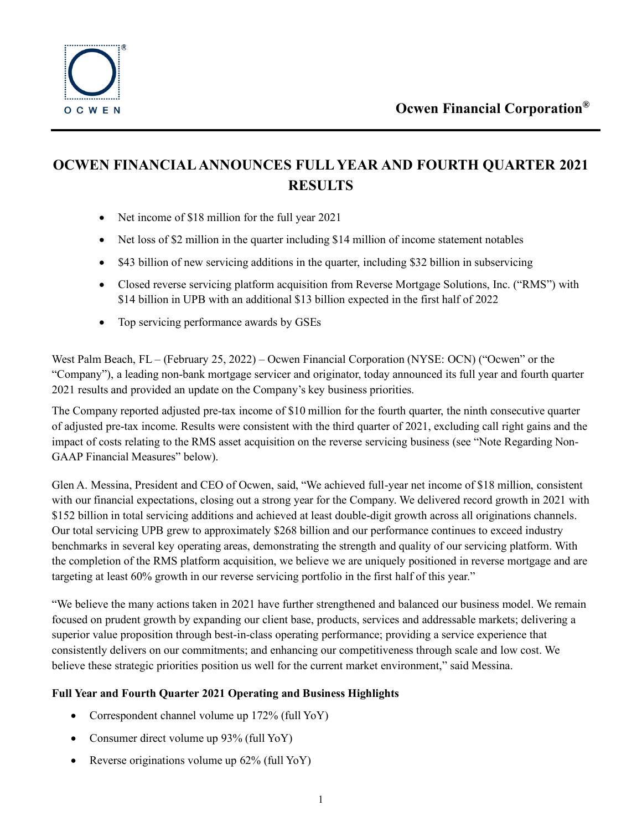

# **OCWEN FINANCIAL ANNOUNCES FULL YEAR AND FOURTH QUARTER 2021 RESULTS**

- Net income of \$18 million for the full year 2021
- Net loss of \$2 million in the quarter including \$14 million of income statement notables
- \$43 billion of new servicing additions in the quarter, including \$32 billion in subservicing
- Closed reverse servicing platform acquisition from Reverse Mortgage Solutions, Inc. ("RMS") with \$14 billion in UPB with an additional \$13 billion expected in the first half of 2022
- Top servicing performance awards by GSEs

West Palm Beach, FL – (February 25, 2022) – Ocwen Financial Corporation (NYSE: OCN) ("Ocwen" or the "Company"), a leading non-bank mortgage servicer and originator, today announced its full year and fourth quarter 2021 results and provided an update on the Company's key business priorities.

The Company reported adjusted pre-tax income of \$10 million for the fourth quarter, the ninth consecutive quarter of adjusted pre-tax income. Results were consistent with the third quarter of 2021, excluding call right gains and the impact of costs relating to the RMS asset acquisition on the reverse servicing business (see "Note Regarding Non-GAAP Financial Measures" below).

Glen A. Messina, President and CEO of Ocwen, said, "We achieved full-year net income of \$18 million, consistent with our financial expectations, closing out a strong year for the Company. We delivered record growth in 2021 with \$152 billion in total servicing additions and achieved at least double-digit growth across all originations channels. Our total servicing UPB grew to approximately \$268 billion and our performance continues to exceed industry benchmarks in several key operating areas, demonstrating the strength and quality of our servicing platform. With the completion of the RMS platform acquisition, we believe we are uniquely positioned in reverse mortgage and are targeting at least 60% growth in our reverse servicing portfolio in the first half of this year."

"We believe the many actions taken in 2021 have further strengthened and balanced our business model. We remain focused on prudent growth by expanding our client base, products, services and addressable markets; delivering a superior value proposition through best-in-class operating performance; providing a service experience that consistently delivers on our commitments; and enhancing our competitiveness through scale and low cost. We believe these strategic priorities position us well for the current market environment," said Messina.

# **Full Year and Fourth Quarter 2021 Operating and Business Highlights**

- Correspondent channel volume up 172% (full YoY)
- Consumer direct volume up 93% (full YoY)
- Reverse originations volume up 62% (full YoY)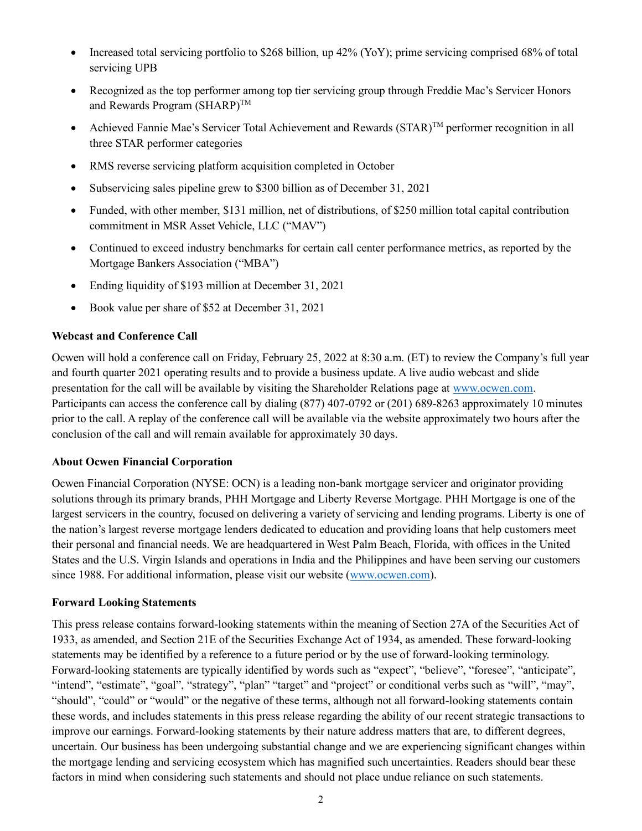- Increased total servicing portfolio to \$268 billion, up 42% (YoY); prime servicing comprised 68% of total servicing UPB
- Recognized as the top performer among top tier servicing group through Freddie Mac's Servicer Honors and Rewards Program (SHARP)<sup>TM</sup>
- Achieved Fannie Mae's Servicer Total Achievement and Rewards  $(STAR)^{TM}$  performer recognition in all three STAR performer categories
- RMS reverse servicing platform acquisition completed in October
- Subservicing sales pipeline grew to \$300 billion as of December 31, 2021
- Funded, with other member, \$131 million, net of distributions, of \$250 million total capital contribution commitment in MSR Asset Vehicle, LLC ("MAV")
- Continued to exceed industry benchmarks for certain call center performance metrics, as reported by the Mortgage Bankers Association ("MBA")
- Ending liquidity of \$193 million at December 31, 2021
- Book value per share of \$52 at December 31, 2021

#### **Webcast and Conference Call**

Ocwen will hold a conference call on Friday, February 25, 2022 at 8:30 a.m. (ET) to review the Company's full year and fourth quarter 2021 operating results and to provide a business update. A live audio webcast and slide presentation for the call will be available by visiting the Shareholder Relations page at [www.ocwen.com.](http://www.ocwen.com/) Participants can access the conference call by dialing (877) 407-0792 or (201) 689-8263 approximately 10 minutes prior to the call. A replay of the conference call will be available via the website approximately two hours after the conclusion of the call and will remain available for approximately 30 days.

#### **About Ocwen Financial Corporation**

Ocwen Financial Corporation (NYSE: OCN) is a leading non-bank mortgage servicer and originator providing solutions through its primary brands, PHH Mortgage and Liberty Reverse Mortgage. PHH Mortgage is one of the largest servicers in the country, focused on delivering a variety of servicing and lending programs. Liberty is one of the nation's largest reverse mortgage lenders dedicated to education and providing loans that help customers meet their personal and financial needs. We are headquartered in West Palm Beach, Florida, with offices in the United States and the U.S. Virgin Islands and operations in India and the Philippines and have been serving our customers since 1988. For additional information, please visit our website [\(www.ocwen.com\)](http://www.ocwen.com/).

#### **Forward Looking Statements**

This press release contains forward-looking statements within the meaning of Section 27A of the Securities Act of 1933, as amended, and Section 21E of the Securities Exchange Act of 1934, as amended. These forward-looking statements may be identified by a reference to a future period or by the use of forward-looking terminology. Forward-looking statements are typically identified by words such as "expect", "believe", "foresee", "anticipate", "intend", "estimate", "goal", "strategy", "plan" "target" and "project" or conditional verbs such as "will", "may", "should", "could" or "would" or the negative of these terms, although not all forward-looking statements contain these words, and includes statements in this press release regarding the ability of our recent strategic transactions to improve our earnings. Forward-looking statements by their nature address matters that are, to different degrees, uncertain. Our business has been undergoing substantial change and we are experiencing significant changes within the mortgage lending and servicing ecosystem which has magnified such uncertainties. Readers should bear these factors in mind when considering such statements and should not place undue reliance on such statements.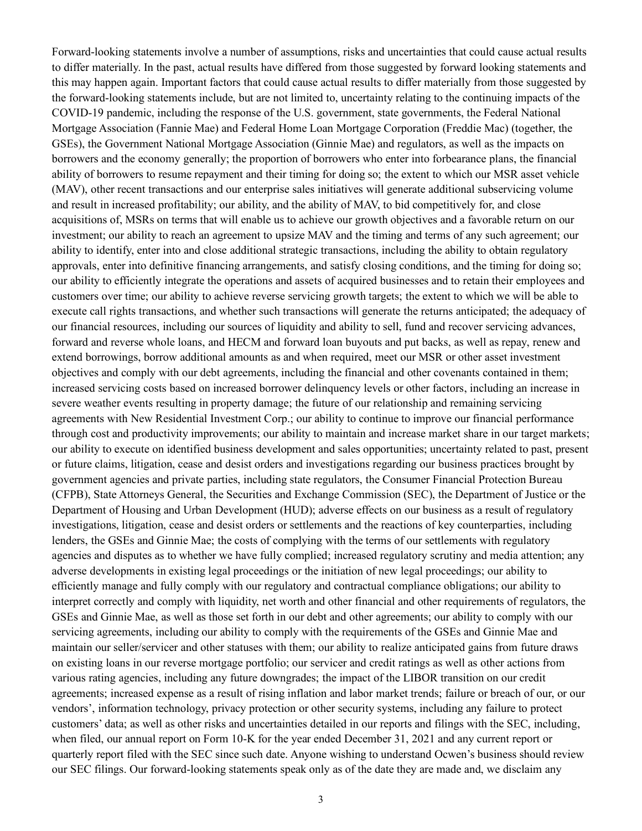Forward-looking statements involve a number of assumptions, risks and uncertainties that could cause actual results to differ materially. In the past, actual results have differed from those suggested by forward looking statements and this may happen again. Important factors that could cause actual results to differ materially from those suggested by the forward-looking statements include, but are not limited to, uncertainty relating to the continuing impacts of the COVID-19 pandemic, including the response of the U.S. government, state governments, the Federal National Mortgage Association (Fannie Mae) and Federal Home Loan Mortgage Corporation (Freddie Mac) (together, the GSEs), the Government National Mortgage Association (Ginnie Mae) and regulators, as well as the impacts on borrowers and the economy generally; the proportion of borrowers who enter into forbearance plans, the financial ability of borrowers to resume repayment and their timing for doing so; the extent to which our MSR asset vehicle (MAV), other recent transactions and our enterprise sales initiatives will generate additional subservicing volume and result in increased profitability; our ability, and the ability of MAV, to bid competitively for, and close acquisitions of, MSRs on terms that will enable us to achieve our growth objectives and a favorable return on our investment; our ability to reach an agreement to upsize MAV and the timing and terms of any such agreement; our ability to identify, enter into and close additional strategic transactions, including the ability to obtain regulatory approvals, enter into definitive financing arrangements, and satisfy closing conditions, and the timing for doing so; our ability to efficiently integrate the operations and assets of acquired businesses and to retain their employees and customers over time; our ability to achieve reverse servicing growth targets; the extent to which we will be able to execute call rights transactions, and whether such transactions will generate the returns anticipated; the adequacy of our financial resources, including our sources of liquidity and ability to sell, fund and recover servicing advances, forward and reverse whole loans, and HECM and forward loan buyouts and put backs, as well as repay, renew and extend borrowings, borrow additional amounts as and when required, meet our MSR or other asset investment objectives and comply with our debt agreements, including the financial and other covenants contained in them; increased servicing costs based on increased borrower delinquency levels or other factors, including an increase in severe weather events resulting in property damage; the future of our relationship and remaining servicing agreements with New Residential Investment Corp.; our ability to continue to improve our financial performance through cost and productivity improvements; our ability to maintain and increase market share in our target markets; our ability to execute on identified business development and sales opportunities; uncertainty related to past, present or future claims, litigation, cease and desist orders and investigations regarding our business practices brought by government agencies and private parties, including state regulators, the Consumer Financial Protection Bureau (CFPB), State Attorneys General, the Securities and Exchange Commission (SEC), the Department of Justice or the Department of Housing and Urban Development (HUD); adverse effects on our business as a result of regulatory investigations, litigation, cease and desist orders or settlements and the reactions of key counterparties, including lenders, the GSEs and Ginnie Mae; the costs of complying with the terms of our settlements with regulatory agencies and disputes as to whether we have fully complied; increased regulatory scrutiny and media attention; any adverse developments in existing legal proceedings or the initiation of new legal proceedings; our ability to efficiently manage and fully comply with our regulatory and contractual compliance obligations; our ability to interpret correctly and comply with liquidity, net worth and other financial and other requirements of regulators, the GSEs and Ginnie Mae, as well as those set forth in our debt and other agreements; our ability to comply with our servicing agreements, including our ability to comply with the requirements of the GSEs and Ginnie Mae and maintain our seller/servicer and other statuses with them; our ability to realize anticipated gains from future draws on existing loans in our reverse mortgage portfolio; our servicer and credit ratings as well as other actions from various rating agencies, including any future downgrades; the impact of the LIBOR transition on our credit agreements; increased expense as a result of rising inflation and labor market trends; failure or breach of our, or our vendors', information technology, privacy protection or other security systems, including any failure to protect customers' data; as well as other risks and uncertainties detailed in our reports and filings with the SEC, including, when filed, our annual report on Form 10-K for the year ended December 31, 2021 and any current report or quarterly report filed with the SEC since such date. Anyone wishing to understand Ocwen's business should review our SEC filings. Our forward-looking statements speak only as of the date they are made and, we disclaim any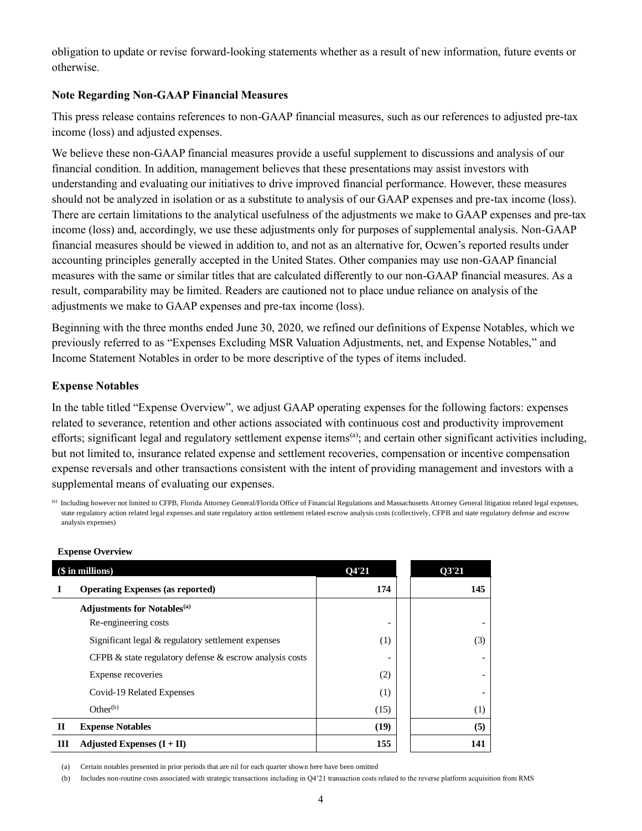obligation to update or revise forward-looking statements whether as a result of new information, future events or otherwise.

#### **Note Regarding Non-GAAP Financial Measures**

This press release contains references to non-GAAP financial measures, such as our references to adjusted pre-tax income (loss) and adjusted expenses.

We believe these non-GAAP financial measures provide a useful supplement to discussions and analysis of our financial condition. In addition, management believes that these presentations may assist investors with understanding and evaluating our initiatives to drive improved financial performance. However, these measures should not be analyzed in isolation or as a substitute to analysis of our GAAP expenses and pre-tax income (loss). There are certain limitations to the analytical usefulness of the adjustments we make to GAAP expenses and pre-tax income (loss) and, accordingly, we use these adjustments only for purposes of supplemental analysis. Non-GAAP financial measures should be viewed in addition to, and not as an alternative for, Ocwen's reported results under accounting principles generally accepted in the United States. Other companies may use non-GAAP financial measures with the same or similar titles that are calculated differently to our non-GAAP financial measures. As a result, comparability may be limited. Readers are cautioned not to place undue reliance on analysis of the adjustments we make to GAAP expenses and pre-tax income (loss).

Beginning with the three months ended June 30, 2020, we refined our definitions of Expense Notables, which we previously referred to as "Expenses Excluding MSR Valuation Adjustments, net, and Expense Notables," and Income Statement Notables in order to be more descriptive of the types of items included.

## **Expense Notables**

In the table titled "Expense Overview", we adjust GAAP operating expenses for the following factors: expenses related to severance, retention and other actions associated with continuous cost and productivity improvement efforts; significant legal and regulatory settlement expense items<sup>(a)</sup>; and certain other significant activities including, but not limited to, insurance related expense and settlement recoveries, compensation or incentive compensation expense reversals and other transactions consistent with the intent of providing management and investors with a supplemental means of evaluating our expenses.

<sup>(</sup>a) Including however not limited to CFPB, Florida Attorney General/Florida Office of Financial Regulations and Massachusetts Attorney General litigation related legal expenses, state regulatory action related legal expenses and state regulatory action settlement related escrow analysis costs (collectively, CFPB and state regulatory defense and escrow analysis expenses)

| (\$ in millions) |                                                               | O4'21 | 03'21 |
|------------------|---------------------------------------------------------------|-------|-------|
|                  | <b>Operating Expenses (as reported)</b>                       | 174   | 145   |
|                  | <b>Adjustments for Notables</b> <sup>(a)</sup>                |       |       |
|                  | Re-engineering costs                                          |       |       |
|                  | Significant legal & regulatory settlement expenses            | (1)   | (3)   |
|                  | CFPB $\&$ state regulatory defense $\&$ escrow analysis costs |       |       |
|                  | Expense recoveries                                            | (2)   |       |
|                  | Covid-19 Related Expenses                                     | (1)   |       |
|                  | Other <sup>(b)</sup>                                          | (15)  | (1)   |
| $\mathbf{I}$     | <b>Expense Notables</b>                                       | (19)  | (5)   |
| ш                | Adjusted Expenses $(I + II)$                                  | 155   | 141   |

#### **Expense Overview**

(a) Certain notables presented in prior periods that are nil for each quarter shown here have been omitted

(b) Includes non-routine costs associated with strategic transactions including in Q4'21 transaction costs related to the reverse platform acquisition from RMS